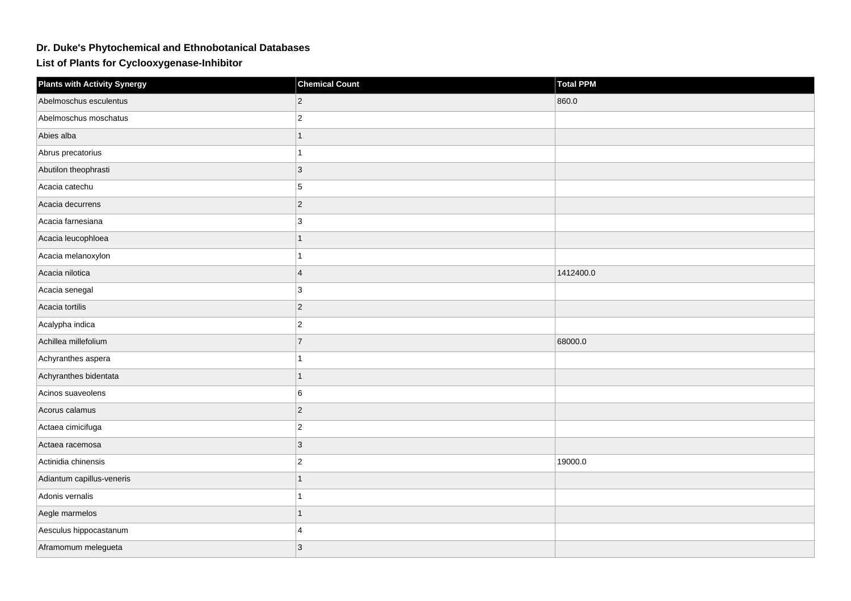## **Dr. Duke's Phytochemical and Ethnobotanical Databases**

**List of Plants for Cyclooxygenase-Inhibitor**

| <b>Plants with Activity Synergy</b> | <b>Chemical Count</b> | <b>Total PPM</b> |
|-------------------------------------|-----------------------|------------------|
| Abelmoschus esculentus              | $ 2\rangle$           | 860.0            |
| Abelmoschus moschatus               | $ 2\rangle$           |                  |
| Abies alba                          | $\mathbf{1}$          |                  |
| Abrus precatorius                   | $\mathbf{1}$          |                  |
| Abutilon theophrasti                | $ 3\rangle$           |                  |
| Acacia catechu                      | 5                     |                  |
| Acacia decurrens                    | $ 2\rangle$           |                  |
| Acacia farnesiana                   | 3                     |                  |
| Acacia leucophloea                  | 1                     |                  |
| Acacia melanoxylon                  | $\mathbf{1}$          |                  |
| Acacia nilotica                     | $\overline{4}$        | 1412400.0        |
| Acacia senegal                      | 3                     |                  |
| Acacia tortilis                     | $ 2\rangle$           |                  |
| Acalypha indica                     | $\vert$ 2             |                  |
| Achillea millefolium                | $\overline{7}$        | 68000.0          |
| Achyranthes aspera                  | 1                     |                  |
| Achyranthes bidentata               | $\mathbf{1}$          |                  |
| Acinos suaveolens                   | 6                     |                  |
| Acorus calamus                      | $ 2\rangle$           |                  |
| Actaea cimicifuga                   | $ 2\rangle$           |                  |
| Actaea racemosa                     | $ 3\rangle$           |                  |
| Actinidia chinensis                 | $ 2\rangle$           | 19000.0          |
| Adiantum capillus-veneris           | 1                     |                  |
| Adonis vernalis                     | 1                     |                  |
| Aegle marmelos                      | 1                     |                  |
| Aesculus hippocastanum              | 4                     |                  |
| Aframomum melegueta                 | 3                     |                  |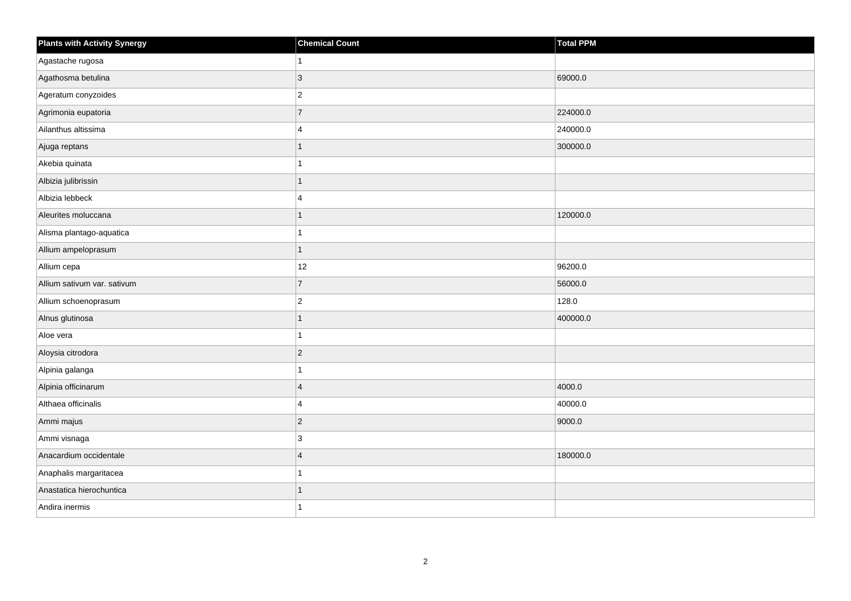| <b>Plants with Activity Synergy</b> | <b>Chemical Count</b> | Total PPM |
|-------------------------------------|-----------------------|-----------|
| Agastache rugosa                    |                       |           |
| Agathosma betulina                  | 3                     | 69000.0   |
| Ageratum conyzoides                 | $\overline{c}$        |           |
| Agrimonia eupatoria                 | $\overline{7}$        | 224000.0  |
| Ailanthus altissima                 | $\overline{4}$        | 240000.0  |
| Ajuga reptans                       |                       | 300000.0  |
| Akebia quinata                      |                       |           |
| Albizia julibrissin                 |                       |           |
| Albizia lebbeck                     | $\overline{4}$        |           |
| Aleurites moluccana                 | 1                     | 120000.0  |
| Alisma plantago-aquatica            |                       |           |
| Allium ampeloprasum                 | 1                     |           |
| Allium cepa                         | 12                    | 96200.0   |
| Allium sativum var. sativum         | $\overline{7}$        | 56000.0   |
| Allium schoenoprasum                | $\overline{c}$        | 128.0     |
| Alnus glutinosa                     | $\overline{1}$        | 400000.0  |
| Aloe vera                           |                       |           |
| Aloysia citrodora                   | $\overline{c}$        |           |
| Alpinia galanga                     | 1                     |           |
| Alpinia officinarum                 | $\overline{4}$        | 4000.0    |
| Althaea officinalis                 | 4                     | 40000.0   |
| Ammi majus                          | $\overline{c}$        | 9000.0    |
| Ammi visnaga                        | 3                     |           |
| Anacardium occidentale              | $\overline{4}$        | 180000.0  |
| Anaphalis margaritacea              | 1                     |           |
| Anastatica hierochuntica            | 1                     |           |
| Andira inermis                      |                       |           |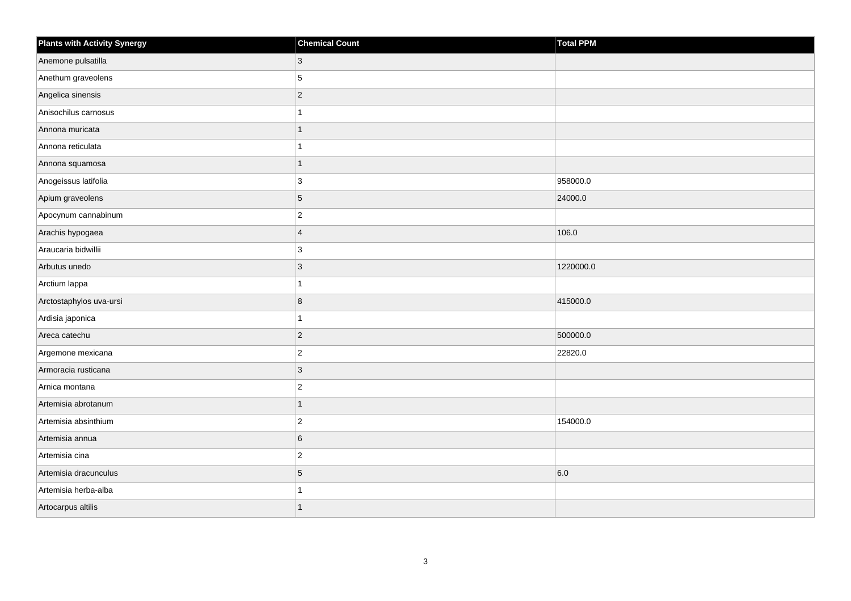| <b>Plants with Activity Synergy</b> | <b>Chemical Count</b> | Total PPM |
|-------------------------------------|-----------------------|-----------|
| Anemone pulsatilla                  | 3                     |           |
| Anethum graveolens                  | 5                     |           |
| Angelica sinensis                   | $\overline{2}$        |           |
| Anisochilus carnosus                |                       |           |
| Annona muricata                     | 1                     |           |
| Annona reticulata                   |                       |           |
| Annona squamosa                     | 1                     |           |
| Anogeissus latifolia                | 3                     | 958000.0  |
| Apium graveolens                    | 5                     | 24000.0   |
| Apocynum cannabinum                 | $\overline{2}$        |           |
| Arachis hypogaea                    | $\overline{4}$        | 106.0     |
| Araucaria bidwillii                 | 3                     |           |
| Arbutus unedo                       | 3                     | 1220000.0 |
| Arctium lappa                       |                       |           |
| Arctostaphylos uva-ursi             | 8                     | 415000.0  |
| Ardisia japonica                    | 4                     |           |
| Areca catechu                       | $\overline{2}$        | 500000.0  |
| Argemone mexicana                   | $\overline{c}$        | 22820.0   |
| Armoracia rusticana                 | $\overline{3}$        |           |
| Arnica montana                      | $\overline{2}$        |           |
| Artemisia abrotanum                 | 1                     |           |
| Artemisia absinthium                | $\overline{2}$        | 154000.0  |
| Artemisia annua                     | 6                     |           |
| Artemisia cina                      | $\overline{c}$        |           |
| Artemisia dracunculus               | 5                     | 6.0       |
| Artemisia herba-alba                |                       |           |
| Artocarpus altilis                  |                       |           |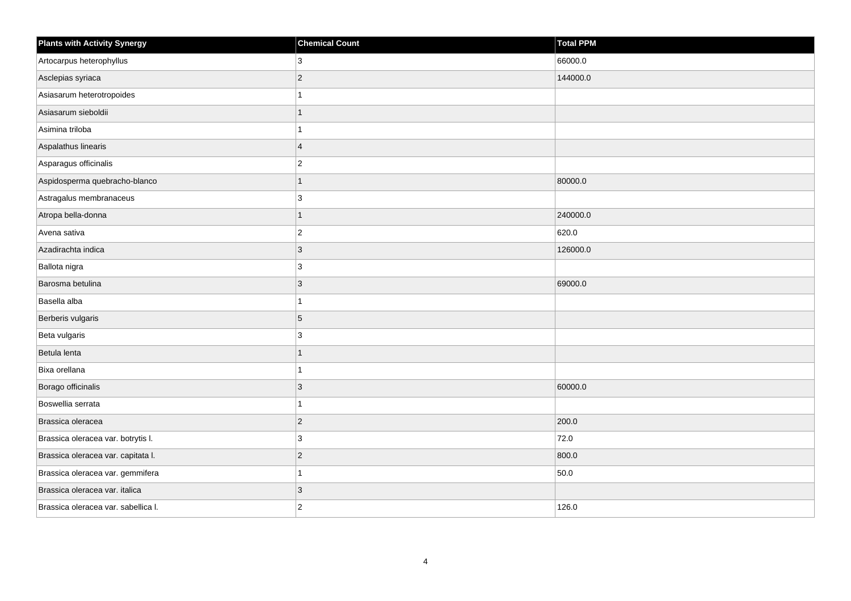| <b>Plants with Activity Synergy</b> | <b>Chemical Count</b> | <b>Total PPM</b> |
|-------------------------------------|-----------------------|------------------|
| Artocarpus heterophyllus            | 3                     | 66000.0          |
| Asclepias syriaca                   | $ 2\rangle$           | 144000.0         |
| Asiasarum heterotropoides           | 1                     |                  |
| Asiasarum sieboldii                 | $\mathbf{1}$          |                  |
| Asimina triloba                     | 1                     |                  |
| Aspalathus linearis                 | $\overline{4}$        |                  |
| Asparagus officinalis               | $\vert$ 2             |                  |
| Aspidosperma quebracho-blanco       | 1                     | 80000.0          |
| Astragalus membranaceus             | 3                     |                  |
| Atropa bella-donna                  | $\mathbf{1}$          | 240000.0         |
| Avena sativa                        | $\overline{2}$        | 620.0            |
| Azadirachta indica                  | 3                     | 126000.0         |
| Ballota nigra                       | $ 3\rangle$           |                  |
| Barosma betulina                    | 3                     | 69000.0          |
| Basella alba                        | $\mathbf{1}$          |                  |
| Berberis vulgaris                   | $\overline{5}$        |                  |
| Beta vulgaris                       | 3                     |                  |
| Betula lenta                        | $\mathbf{1}$          |                  |
| Bixa orellana                       | 1                     |                  |
| Borago officinalis                  | $\vert$ 3             | 60000.0          |
| Boswellia serrata                   | $\mathbf{1}$          |                  |
| Brassica oleracea                   | $ 2\rangle$           | 200.0            |
| Brassica oleracea var. botrytis I.  | $\mathbf{3}$          | 72.0             |
| Brassica oleracea var. capitata I.  | $ 2\rangle$           | 800.0            |
| Brassica oleracea var. gemmifera    | 1                     | 50.0             |
| Brassica oleracea var. italica      | 3                     |                  |
| Brassica oleracea var. sabellica I. | $ 2\rangle$           | 126.0            |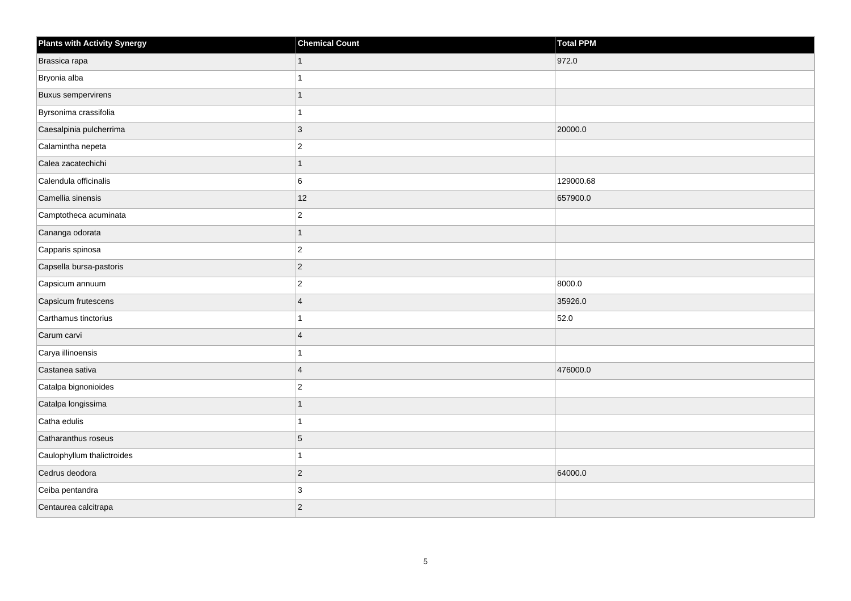| <b>Plants with Activity Synergy</b> | <b>Chemical Count</b>   | Total PPM |
|-------------------------------------|-------------------------|-----------|
| Brassica rapa                       | 1                       | 972.0     |
| Bryonia alba                        |                         |           |
| <b>Buxus sempervirens</b>           | 1                       |           |
| Byrsonima crassifolia               | 1                       |           |
| Caesalpinia pulcherrima             | 3                       | 20000.0   |
| Calamintha nepeta                   | $\sqrt{2}$              |           |
| Calea zacatechichi                  | $\mathbf{1}$            |           |
| Calendula officinalis               | 6                       | 129000.68 |
| Camellia sinensis                   | 12                      | 657900.0  |
| Camptotheca acuminata               | $\overline{2}$          |           |
| Cananga odorata                     | 1                       |           |
| Capparis spinosa                    | $\overline{c}$          |           |
| Capsella bursa-pastoris             | $ 2\rangle$             |           |
| Capsicum annuum                     | $\overline{c}$          | 8000.0    |
| Capsicum frutescens                 | $\overline{\mathbf{4}}$ | 35926.0   |
| Carthamus tinctorius                | 1                       | 52.0      |
| Carum carvi                         | $\overline{\mathbf{4}}$ |           |
| Carya illinoensis                   | 1                       |           |
| Castanea sativa                     | $\overline{4}$          | 476000.0  |
| Catalpa bignonioides                | $\overline{2}$          |           |
| Catalpa longissima                  | 1                       |           |
| Catha edulis                        | 1                       |           |
| Catharanthus roseus                 | 5                       |           |
| Caulophyllum thalictroides          | 1                       |           |
| Cedrus deodora                      | $\vert$ 2               | 64000.0   |
| Ceiba pentandra                     | $\mathsf 3$             |           |
| Centaurea calcitrapa                | $\overline{2}$          |           |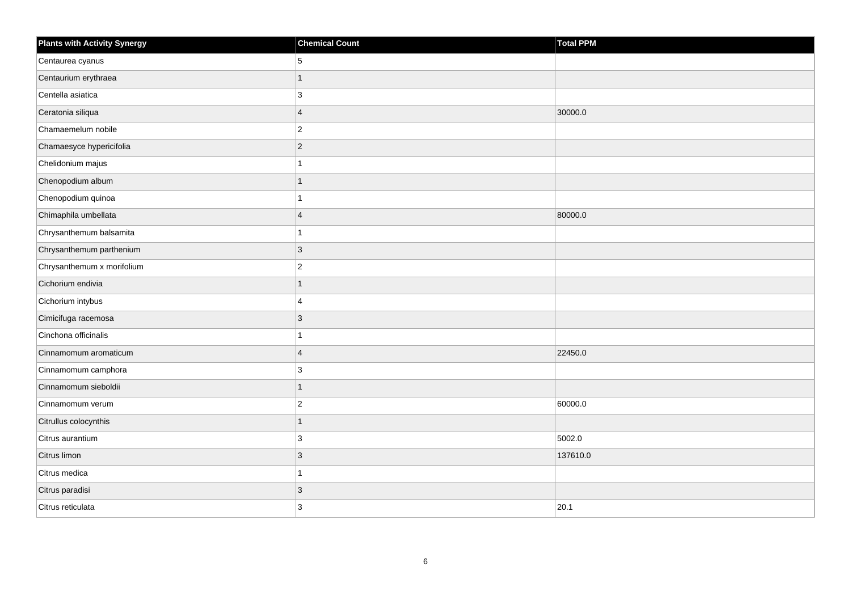| <b>Plants with Activity Synergy</b> | <b>Chemical Count</b>   | <b>Total PPM</b> |
|-------------------------------------|-------------------------|------------------|
| Centaurea cyanus                    | 5                       |                  |
| Centaurium erythraea                | $\overline{1}$          |                  |
| Centella asiatica                   | 3                       |                  |
| Ceratonia siliqua                   | $\overline{4}$          | 30000.0          |
| Chamaemelum nobile                  | $\overline{\mathbf{c}}$ |                  |
| Chamaesyce hypericifolia            | $\overline{c}$          |                  |
| Chelidonium majus                   | 1                       |                  |
| Chenopodium album                   | 1                       |                  |
| Chenopodium quinoa                  | 1                       |                  |
| Chimaphila umbellata                | $\overline{4}$          | 80000.0          |
| Chrysanthemum balsamita             |                         |                  |
| Chrysanthemum parthenium            | $\mathbf{3}$            |                  |
| Chrysanthemum x morifolium          | $\overline{2}$          |                  |
| Cichorium endivia                   | 1                       |                  |
| Cichorium intybus                   | 4                       |                  |
| Cimicifuga racemosa                 | $\overline{3}$          |                  |
| Cinchona officinalis                |                         |                  |
| Cinnamomum aromaticum               | $\overline{4}$          | 22450.0          |
| Cinnamomum camphora                 | 3                       |                  |
| Cinnamomum sieboldii                | 1                       |                  |
| Cinnamomum verum                    | $\overline{c}$          | 60000.0          |
| Citrullus colocynthis               | $\overline{1}$          |                  |
| Citrus aurantium                    | 3                       | 5002.0           |
| Citrus limon                        | 3                       | 137610.0         |
| Citrus medica                       | 1                       |                  |
| Citrus paradisi                     | 3                       |                  |
| Citrus reticulata                   | 3                       | 20.1             |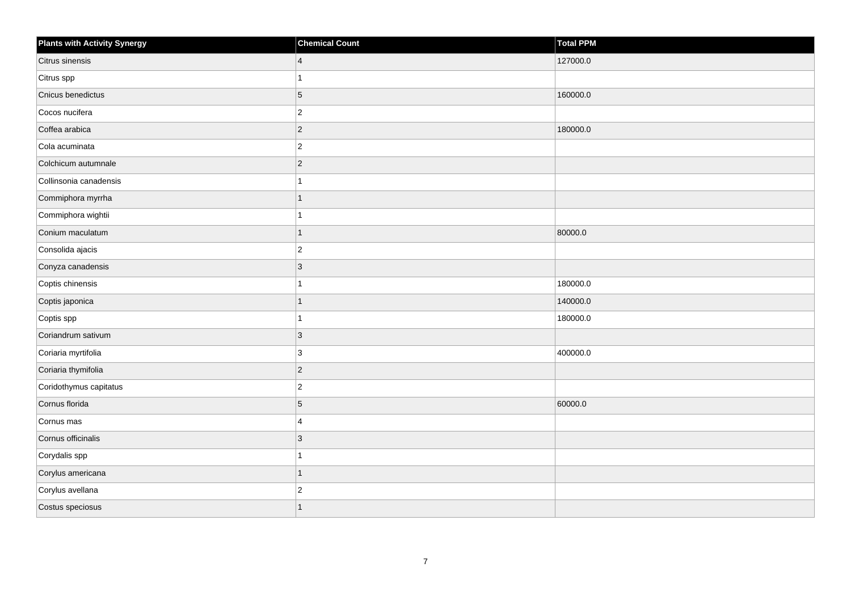| <b>Plants with Activity Synergy</b> | <b>Chemical Count</b> | <b>Total PPM</b> |
|-------------------------------------|-----------------------|------------------|
| Citrus sinensis                     | $\overline{4}$        | 127000.0         |
| Citrus spp                          |                       |                  |
| Cnicus benedictus                   | 5                     | 160000.0         |
| Cocos nucifera                      | $\overline{2}$        |                  |
| Coffea arabica                      | $\overline{2}$        | 180000.0         |
| Cola acuminata                      | $\overline{c}$        |                  |
| Colchicum autumnale                 | $\overline{2}$        |                  |
| Collinsonia canadensis              |                       |                  |
| Commiphora myrrha                   |                       |                  |
| Commiphora wightii                  |                       |                  |
| Conium maculatum                    | 1                     | 80000.0          |
| Consolida ajacis                    | $\overline{2}$        |                  |
| Conyza canadensis                   | $\overline{3}$        |                  |
| Coptis chinensis                    |                       | 180000.0         |
| Coptis japonica                     |                       | 140000.0         |
| Coptis spp                          |                       | 180000.0         |
| Coriandrum sativum                  | 3                     |                  |
| Coriaria myrtifolia                 | 3                     | 400000.0         |
| Coriaria thymifolia                 | $\overline{2}$        |                  |
| Coridothymus capitatus              | $\overline{c}$        |                  |
| Cornus florida                      | 5                     | 60000.0          |
| Cornus mas                          | 4                     |                  |
| Cornus officinalis                  | 3                     |                  |
| Corydalis spp                       |                       |                  |
| Corylus americana                   | 1                     |                  |
| Corylus avellana                    | $\overline{2}$        |                  |
| Costus speciosus                    | 1                     |                  |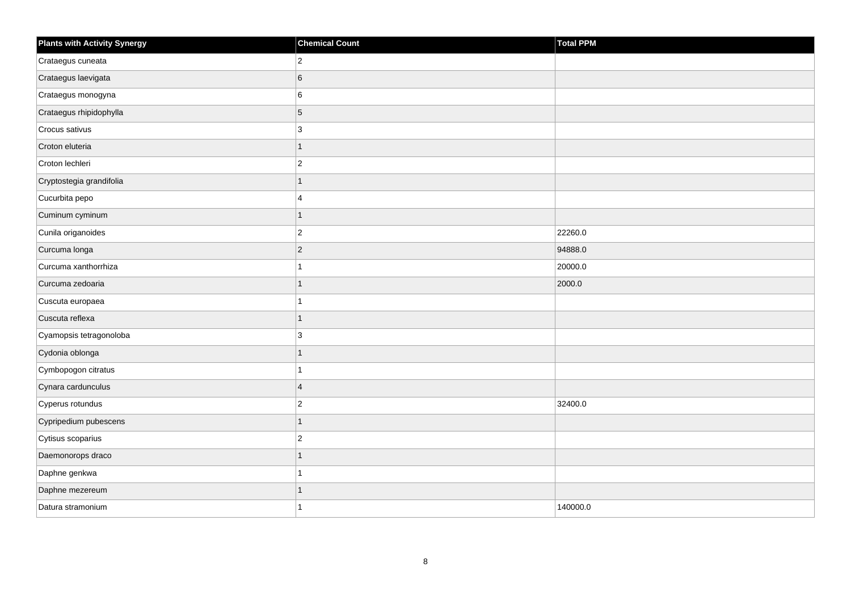| <b>Plants with Activity Synergy</b> | <b>Chemical Count</b> | Total PPM |
|-------------------------------------|-----------------------|-----------|
| Crataegus cuneata                   | $\overline{2}$        |           |
| Crataegus laevigata                 | 6                     |           |
| Crataegus monogyna                  | 6                     |           |
| Crataegus rhipidophylla             | 5                     |           |
| Crocus sativus                      | 3                     |           |
| Croton eluteria                     | 1                     |           |
| Croton lechleri                     | $\overline{2}$        |           |
| Cryptostegia grandifolia            | 1                     |           |
| Cucurbita pepo                      | 4                     |           |
| Cuminum cyminum                     | 1                     |           |
| Cunila origanoides                  | $\overline{c}$        | 22260.0   |
| Curcuma longa                       | $\overline{c}$        | 94888.0   |
| Curcuma xanthorrhiza                |                       | 20000.0   |
| Curcuma zedoaria                    | 1                     | 2000.0    |
| Cuscuta europaea                    |                       |           |
| Cuscuta reflexa                     | $\overline{1}$        |           |
| Cyamopsis tetragonoloba             | 3                     |           |
| Cydonia oblonga                     | 1                     |           |
| Cymbopogon citratus                 |                       |           |
| Cynara cardunculus                  | $\overline{4}$        |           |
| Cyperus rotundus                    | $\overline{c}$        | 32400.0   |
| Cypripedium pubescens               | 1                     |           |
| Cytisus scoparius                   | $\overline{2}$        |           |
| Daemonorops draco                   | 1                     |           |
| Daphne genkwa                       |                       |           |
| Daphne mezereum                     | 1                     |           |
| Datura stramonium                   |                       | 140000.0  |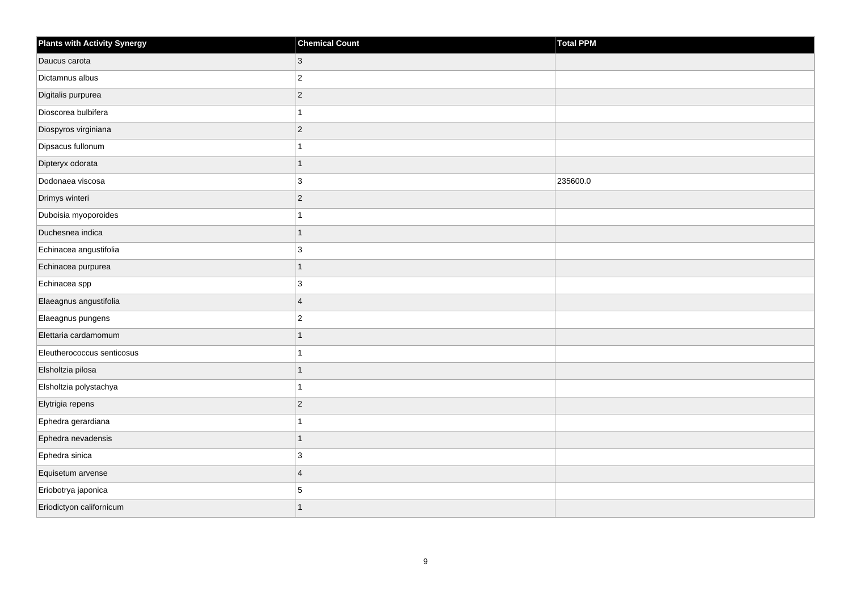| <b>Plants with Activity Synergy</b> | <b>Chemical Count</b>   | Total PPM |
|-------------------------------------|-------------------------|-----------|
| Daucus carota                       | $\mathbf{3}$            |           |
| Dictamnus albus                     | $\overline{\mathbf{c}}$ |           |
| Digitalis purpurea                  | $\overline{c}$          |           |
| Dioscorea bulbifera                 | 1                       |           |
| Diospyros virginiana                | $\overline{c}$          |           |
| Dipsacus fullonum                   | 1                       |           |
| Dipteryx odorata                    | $\overline{1}$          |           |
| Dodonaea viscosa                    | 3                       | 235600.0  |
| Drimys winteri                      | $\overline{c}$          |           |
| Duboisia myoporoides                | 1                       |           |
| Duchesnea indica                    | $\overline{1}$          |           |
| Echinacea angustifolia              | 3                       |           |
| Echinacea purpurea                  | $\overline{1}$          |           |
| Echinacea spp                       | 3                       |           |
| Elaeagnus angustifolia              | $\overline{4}$          |           |
| Elaeagnus pungens                   | $\boldsymbol{2}$        |           |
| Elettaria cardamomum                | $\overline{1}$          |           |
| Eleutherococcus senticosus          | 1                       |           |
| Elsholtzia pilosa                   | $\mathbf{1}$            |           |
| Elsholtzia polystachya              | 1                       |           |
| Elytrigia repens                    | $\overline{c}$          |           |
| Ephedra gerardiana                  | 1                       |           |
| Ephedra nevadensis                  | $\overline{1}$          |           |
| Ephedra sinica                      | 3                       |           |
| Equisetum arvense                   | $\overline{4}$          |           |
| Eriobotrya japonica                 | 5                       |           |
| Eriodictyon californicum            | $\overline{1}$          |           |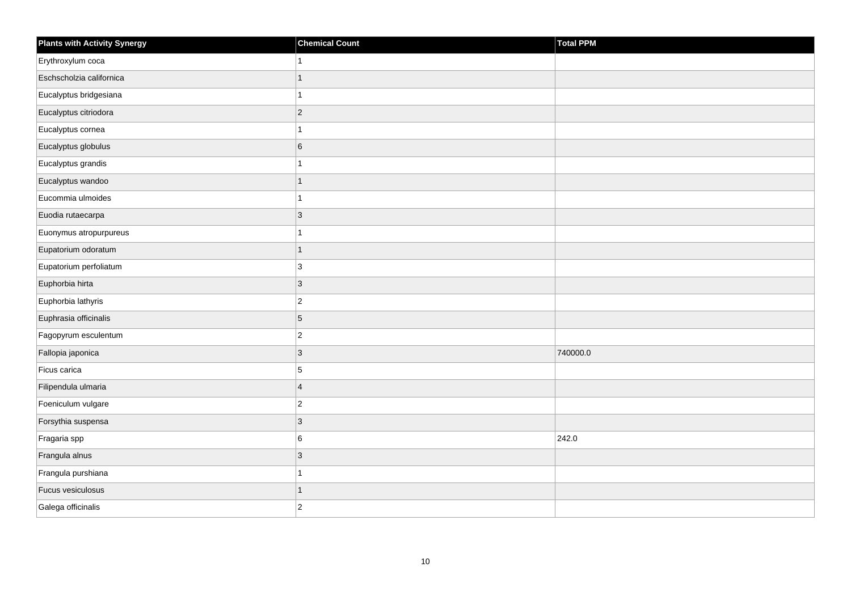| <b>Plants with Activity Synergy</b> | <b>Chemical Count</b>   | Total PPM |
|-------------------------------------|-------------------------|-----------|
| Erythroxylum coca                   | 1                       |           |
| Eschscholzia californica            | $\overline{1}$          |           |
| Eucalyptus bridgesiana              | 1                       |           |
| Eucalyptus citriodora               | $\overline{2}$          |           |
| Eucalyptus cornea                   | 1                       |           |
| Eucalyptus globulus                 | 6                       |           |
| Eucalyptus grandis                  | 1                       |           |
| Eucalyptus wandoo                   | $\overline{1}$          |           |
| Eucommia ulmoides                   | 1                       |           |
| Euodia rutaecarpa                   | 3                       |           |
| Euonymus atropurpureus              | 1                       |           |
| Eupatorium odoratum                 | $\mathbf{1}$            |           |
| Eupatorium perfoliatum              | $\mathbf{3}$            |           |
| Euphorbia hirta                     | 3                       |           |
| Euphorbia lathyris                  | $\boldsymbol{2}$        |           |
| Euphrasia officinalis               | 5                       |           |
| Fagopyrum esculentum                | $\overline{\mathbf{c}}$ |           |
| Fallopia japonica                   | $\overline{3}$          | 740000.0  |
| Ficus carica                        | 5                       |           |
| Filipendula ulmaria                 | $\overline{4}$          |           |
| Foeniculum vulgare                  | $\overline{2}$          |           |
| Forsythia suspensa                  | $\mathbf{3}$            |           |
| Fragaria spp                        | 6                       | 242.0     |
| Frangula alnus                      | $\mathbf{3}$            |           |
| Frangula purshiana                  | 1                       |           |
| <b>Fucus vesiculosus</b>            | 1                       |           |
| Galega officinalis                  | $\overline{2}$          |           |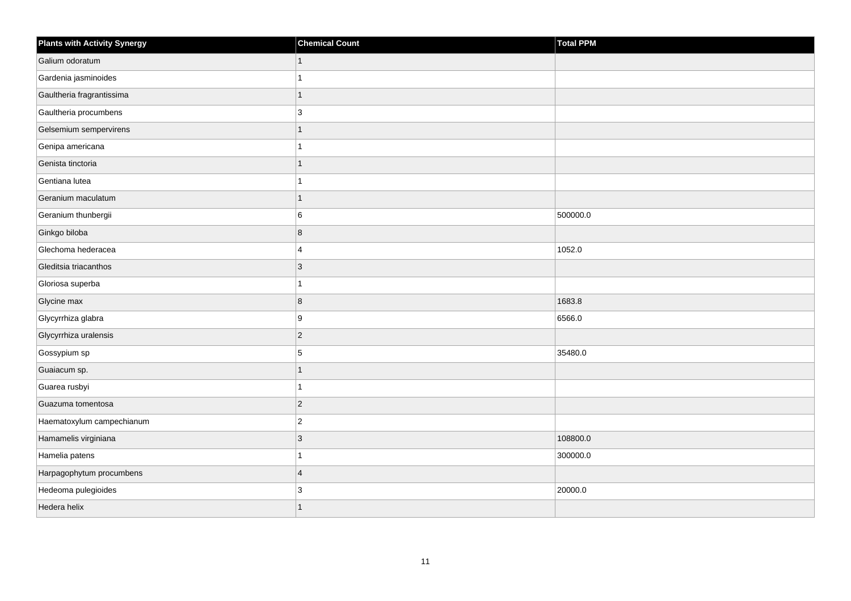| <b>Plants with Activity Synergy</b> | <b>Chemical Count</b> | <b>Total PPM</b> |
|-------------------------------------|-----------------------|------------------|
| Galium odoratum                     | 1                     |                  |
| Gardenia jasminoides                |                       |                  |
| Gaultheria fragrantissima           |                       |                  |
| Gaultheria procumbens               | $\mathbf{3}$          |                  |
| Gelsemium sempervirens              |                       |                  |
| Genipa americana                    |                       |                  |
| Genista tinctoria                   |                       |                  |
| Gentiana lutea                      |                       |                  |
| Geranium maculatum                  |                       |                  |
| Geranium thunbergii                 | 6                     | 500000.0         |
| Ginkgo biloba                       | 8                     |                  |
| Glechoma hederacea                  | $\overline{4}$        | 1052.0           |
| Gleditsia triacanthos               | 3                     |                  |
| Gloriosa superba                    |                       |                  |
| Glycine max                         | 8                     | 1683.8           |
| Glycyrrhiza glabra                  | ∣9                    | 6566.0           |
| Glycyrrhiza uralensis               | $ 2\rangle$           |                  |
| Gossypium sp                        | $\sqrt{5}$            | 35480.0          |
| Guaiacum sp.                        |                       |                  |
| Guarea rusbyi                       |                       |                  |
| Guazuma tomentosa                   | $ 2\rangle$           |                  |
| Haematoxylum campechianum           | $\overline{2}$        |                  |
| Hamamelis virginiana                | $\mathbf{3}$          | 108800.0         |
| Hamelia patens                      |                       | 300000.0         |
| Harpagophytum procumbens            | $\overline{4}$        |                  |
| Hedeoma pulegioides                 | 3                     | 20000.0          |
| Hedera helix                        |                       |                  |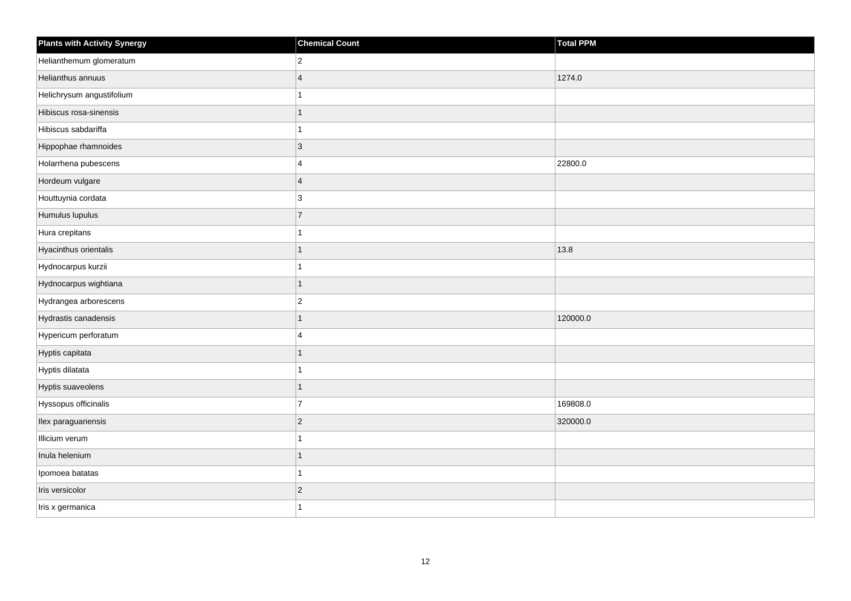| <b>Plants with Activity Synergy</b> | <b>Chemical Count</b>   | Total PPM |
|-------------------------------------|-------------------------|-----------|
| Helianthemum glomeratum             | $\overline{2}$          |           |
| Helianthus annuus                   | $\overline{4}$          | 1274.0    |
| Helichrysum angustifolium           | 1                       |           |
| Hibiscus rosa-sinensis              | $\mathbf{1}$            |           |
| Hibiscus sabdariffa                 | 1                       |           |
| Hippophae rhamnoides                | 3                       |           |
| Holarrhena pubescens                | $\overline{4}$          | 22800.0   |
| Hordeum vulgare                     | $\overline{4}$          |           |
| Houttuynia cordata                  | 3                       |           |
| Humulus lupulus                     | 7                       |           |
| Hura crepitans                      | 1                       |           |
| Hyacinthus orientalis               | $\mathbf{1}$            | 13.8      |
| Hydnocarpus kurzii                  | 1                       |           |
| Hydnocarpus wightiana               | $\mathbf{1}$            |           |
| Hydrangea arborescens               | $\overline{2}$          |           |
| Hydrastis canadensis                | 1                       | 120000.0  |
| Hypericum perforatum                | $\overline{\mathbf{4}}$ |           |
| Hyptis capitata                     | $\overline{1}$          |           |
| Hyptis dilatata                     | 1                       |           |
| Hyptis suaveolens                   | 1                       |           |
| Hyssopus officinalis                | 7                       | 169808.0  |
| Ilex paraguariensis                 | $ 2\rangle$             | 320000.0  |
| Illicium verum                      | 1                       |           |
| Inula helenium                      | $\overline{1}$          |           |
| Ipomoea batatas                     | $\mathbf{1}$            |           |
| Iris versicolor                     | $ 2\rangle$             |           |
| Iris x germanica                    | 1                       |           |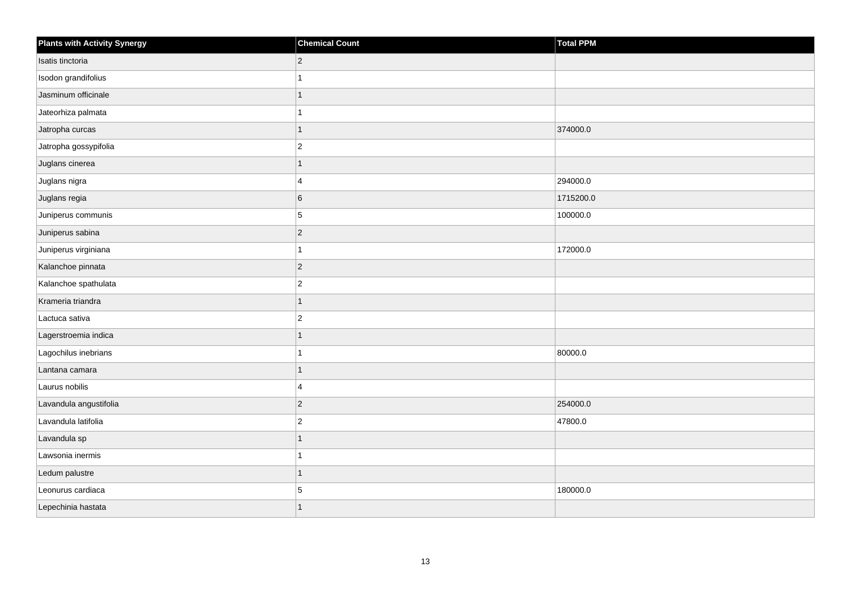| <b>Plants with Activity Synergy</b> | <b>Chemical Count</b> | Total PPM |
|-------------------------------------|-----------------------|-----------|
| Isatis tinctoria                    | $ 2\rangle$           |           |
| Isodon grandifolius                 | 1                     |           |
| Jasminum officinale                 | $\overline{1}$        |           |
| Jateorhiza palmata                  | 1                     |           |
| Jatropha curcas                     | $\mathbf{1}$          | 374000.0  |
| Jatropha gossypifolia               | $\overline{2}$        |           |
| Juglans cinerea                     | 1                     |           |
| Juglans nigra                       | 4                     | 294000.0  |
| Juglans regia                       | 6                     | 1715200.0 |
| Juniperus communis                  | 5                     | 100000.0  |
| Juniperus sabina                    | $\overline{2}$        |           |
| Juniperus virginiana                | $\mathbf{1}$          | 172000.0  |
| Kalanchoe pinnata                   | $ 2\rangle$           |           |
| Kalanchoe spathulata                | $\overline{c}$        |           |
| Krameria triandra                   | $\overline{1}$        |           |
| Lactuca sativa                      | $\vert$ 2             |           |
| Lagerstroemia indica                | 1                     |           |
| Lagochilus inebrians                | 1                     | 80000.0   |
| Lantana camara                      | 1                     |           |
| Laurus nobilis                      | 4                     |           |
| Lavandula angustifolia              | $ 2\rangle$           | 254000.0  |
| Lavandula latifolia                 | $\vert$ 2             | 47800.0   |
| Lavandula sp                        | 1                     |           |
| Lawsonia inermis                    | 1                     |           |
| Ledum palustre                      | $\overline{1}$        |           |
| Leonurus cardiaca                   | 5                     | 180000.0  |
| Lepechinia hastata                  | 1                     |           |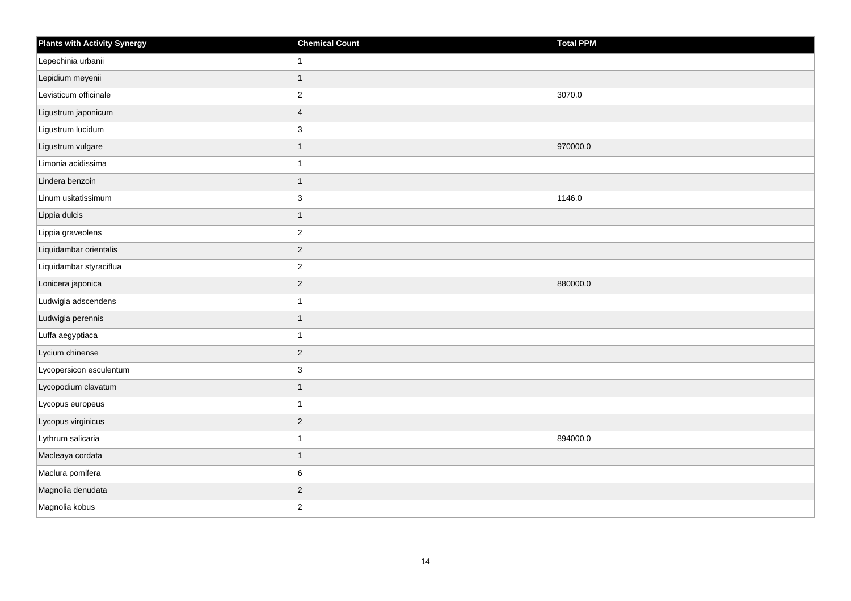| <b>Plants with Activity Synergy</b> | <b>Chemical Count</b> | Total PPM |
|-------------------------------------|-----------------------|-----------|
| Lepechinia urbanii                  |                       |           |
| Lepidium meyenii                    | 1                     |           |
| Levisticum officinale               | $\overline{c}$        | 3070.0    |
| Ligustrum japonicum                 | $\overline{4}$        |           |
| Ligustrum lucidum                   | 3                     |           |
| Ligustrum vulgare                   |                       | 970000.0  |
| Limonia acidissima                  |                       |           |
| Lindera benzoin                     | 1                     |           |
| Linum usitatissimum                 | 3                     | 1146.0    |
| Lippia dulcis                       | 1                     |           |
| Lippia graveolens                   | $\overline{c}$        |           |
| Liquidambar orientalis              | $\overline{2}$        |           |
| Liquidambar styraciflua             | $\overline{c}$        |           |
| Lonicera japonica                   | $\overline{c}$        | 880000.0  |
| Ludwigia adscendens                 |                       |           |
| Ludwigia perennis                   | 1                     |           |
| Luffa aegyptiaca                    |                       |           |
| Lycium chinense                     | $\overline{2}$        |           |
| Lycopersicon esculentum             | 3                     |           |
| Lycopodium clavatum                 |                       |           |
| Lycopus europeus                    |                       |           |
| Lycopus virginicus                  | $\overline{c}$        |           |
| Lythrum salicaria                   |                       | 894000.0  |
| Macleaya cordata                    | 1                     |           |
| Maclura pomifera                    | 6                     |           |
| Magnolia denudata                   | $\overline{c}$        |           |
| Magnolia kobus                      | $\overline{2}$        |           |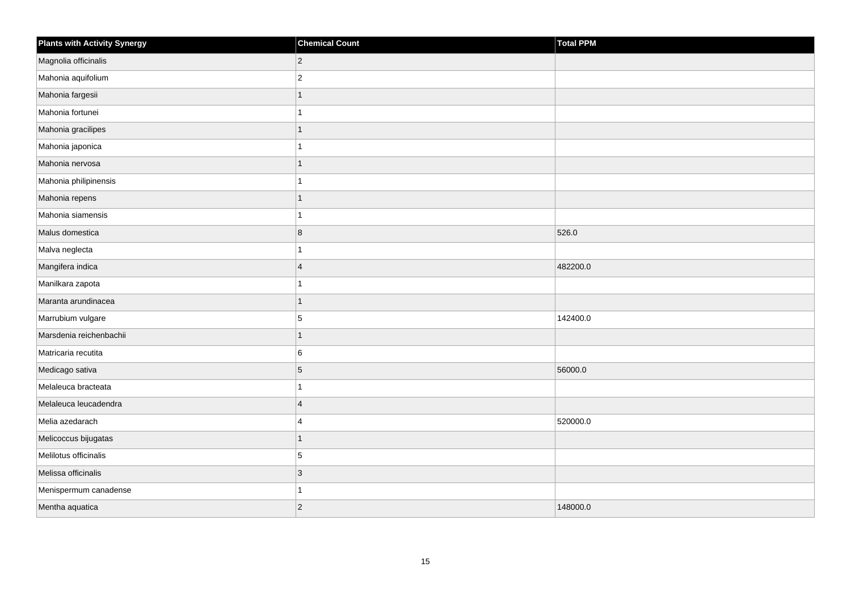| <b>Plants with Activity Synergy</b> | <b>Chemical Count</b>   | Total PPM |
|-------------------------------------|-------------------------|-----------|
| Magnolia officinalis                | $\overline{2}$          |           |
| Mahonia aquifolium                  | $\overline{c}$          |           |
| Mahonia fargesii                    |                         |           |
| Mahonia fortunei                    |                         |           |
| Mahonia gracilipes                  |                         |           |
| Mahonia japonica                    |                         |           |
| Mahonia nervosa                     |                         |           |
| Mahonia philipinensis               |                         |           |
| Mahonia repens                      |                         |           |
| Mahonia siamensis                   |                         |           |
| Malus domestica                     | 8                       | 526.0     |
| Malva neglecta                      |                         |           |
| Mangifera indica                    | $\overline{4}$          | 482200.0  |
| Manilkara zapota                    |                         |           |
| Maranta arundinacea                 | 1                       |           |
| Marrubium vulgare                   | 5                       | 142400.0  |
| Marsdenia reichenbachii             |                         |           |
| Matricaria recutita                 | 6                       |           |
| Medicago sativa                     | 5                       | 56000.0   |
| Melaleuca bracteata                 |                         |           |
| Melaleuca leucadendra               | $\overline{\mathbf{4}}$ |           |
| Melia azedarach                     | $\boldsymbol{\Delta}$   | 520000.0  |
| Melicoccus bijugatas                |                         |           |
| Melilotus officinalis               | 5                       |           |
| Melissa officinalis                 | 3                       |           |
| Menispermum canadense               |                         |           |
| Mentha aquatica                     | $\overline{c}$          | 148000.0  |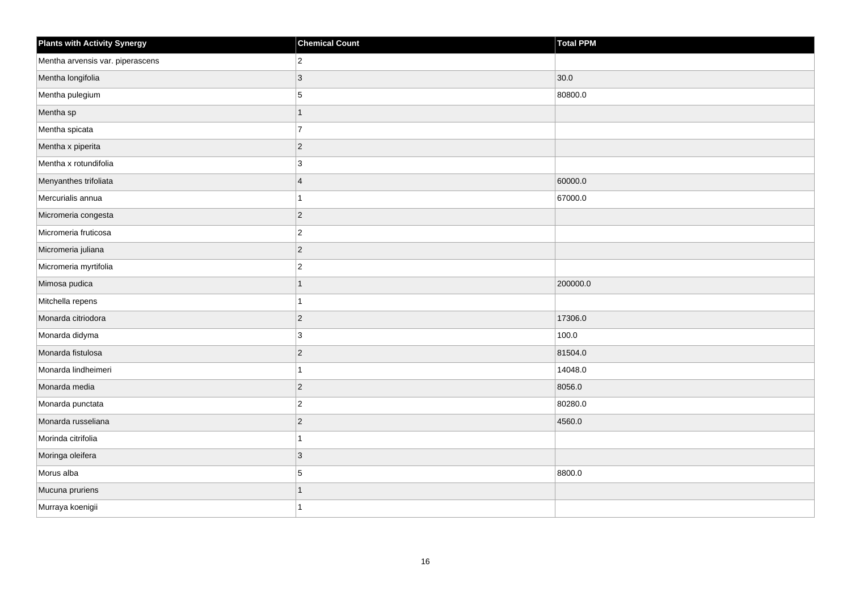| <b>Plants with Activity Synergy</b> | <b>Chemical Count</b>   | <b>Total PPM</b> |
|-------------------------------------|-------------------------|------------------|
| Mentha arvensis var. piperascens    | $\overline{2}$          |                  |
| Mentha longifolia                   | 3                       | 30.0             |
| Mentha pulegium                     | 5                       | 80800.0          |
| Mentha sp                           | 1                       |                  |
| Mentha spicata                      | $\overline{7}$          |                  |
| Mentha x piperita                   | $\overline{2}$          |                  |
| Mentha x rotundifolia               | 3                       |                  |
| Menyanthes trifoliata               | $\overline{\mathbf{A}}$ | 60000.0          |
| Mercurialis annua                   |                         | 67000.0          |
| Micromeria congesta                 | $\overline{2}$          |                  |
| Micromeria fruticosa                | $\overline{2}$          |                  |
| Micromeria juliana                  | $\overline{c}$          |                  |
| Micromeria myrtifolia               | $\overline{a}$          |                  |
| Mimosa pudica                       | 1                       | 200000.0         |
| Mitchella repens                    |                         |                  |
| Monarda citriodora                  | $\overline{2}$          | 17306.0          |
| Monarda didyma                      | 3                       | 100.0            |
| Monarda fistulosa                   | $\overline{2}$          | 81504.0          |
| Monarda lindheimeri                 | 1                       | 14048.0          |
| Monarda media                       | $\overline{2}$          | 8056.0           |
| Monarda punctata                    | $\overline{c}$          | 80280.0          |
| Monarda russeliana                  | $\overline{c}$          | 4560.0           |
| Morinda citrifolia                  |                         |                  |
| Moringa oleifera                    | 3                       |                  |
| Morus alba                          | 5                       | 8800.0           |
| Mucuna pruriens                     |                         |                  |
| Murraya koenigii                    |                         |                  |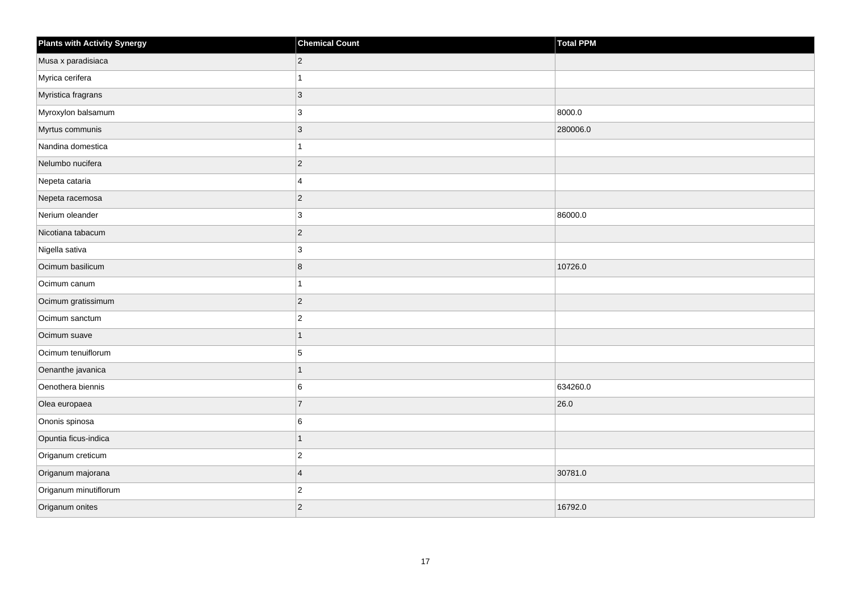| <b>Plants with Activity Synergy</b> | <b>Chemical Count</b> | Total PPM |
|-------------------------------------|-----------------------|-----------|
| Musa x paradisiaca                  | $\overline{2}$        |           |
| Myrica cerifera                     | 1                     |           |
| Myristica fragrans                  | $\sqrt{3}$            |           |
| Myroxylon balsamum                  | 3                     | 8000.0    |
| Myrtus communis                     | 3                     | 280006.0  |
| Nandina domestica                   | 1                     |           |
| Nelumbo nucifera                    | $\overline{c}$        |           |
| Nepeta cataria                      | 4                     |           |
| Nepeta racemosa                     | $\overline{c}$        |           |
| Nerium oleander                     | 3                     | 86000.0   |
| Nicotiana tabacum                   | $\overline{c}$        |           |
| Nigella sativa                      | 3                     |           |
| Ocimum basilicum                    | 8                     | 10726.0   |
| Ocimum canum                        | 1                     |           |
| Ocimum gratissimum                  | $\overline{c}$        |           |
| Ocimum sanctum                      | $\overline{2}$        |           |
| Ocimum suave                        | 1                     |           |
| Ocimum tenuiflorum                  | 5                     |           |
| Oenanthe javanica                   | $\mathbf{1}$          |           |
| Oenothera biennis                   | 6                     | 634260.0  |
| Olea europaea                       | $\overline{7}$        | 26.0      |
| Ononis spinosa                      | 6                     |           |
| Opuntia ficus-indica                | 1                     |           |
| Origanum creticum                   | $\overline{c}$        |           |
| Origanum majorana                   | $\overline{4}$        | 30781.0   |
| Origanum minutiflorum               | $\overline{c}$        |           |
| Origanum onites                     | $\overline{c}$        | 16792.0   |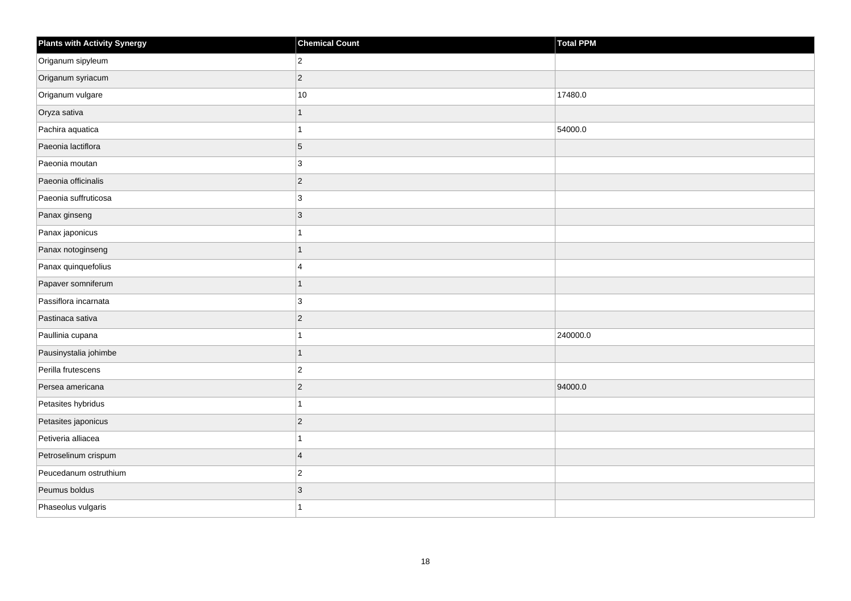| <b>Plants with Activity Synergy</b> | <b>Chemical Count</b> | <b>Total PPM</b> |
|-------------------------------------|-----------------------|------------------|
| Origanum sipyleum                   | $\overline{c}$        |                  |
| Origanum syriacum                   | $\overline{2}$        |                  |
| Origanum vulgare                    | $10$                  | 17480.0          |
| Oryza sativa                        | $\mathbf{1}$          |                  |
| Pachira aquatica                    | 1                     | 54000.0          |
| Paeonia lactiflora                  | 5                     |                  |
| Paeonia moutan                      | 3                     |                  |
| Paeonia officinalis                 | $\overline{2}$        |                  |
| Paeonia suffruticosa                | 3                     |                  |
| Panax ginseng                       | $\overline{3}$        |                  |
| Panax japonicus                     | 1                     |                  |
| Panax notoginseng                   | $\overline{1}$        |                  |
| Panax quinquefolius                 | 4                     |                  |
| Papaver somniferum                  | $\overline{1}$        |                  |
| Passiflora incarnata                | 3                     |                  |
| Pastinaca sativa                    | $\overline{c}$        |                  |
| Paullinia cupana                    | 1                     | 240000.0         |
| Pausinystalia johimbe               | $\overline{1}$        |                  |
| Perilla frutescens                  | $\overline{c}$        |                  |
| Persea americana                    | $\overline{c}$        | 94000.0          |
| Petasites hybridus                  | 1                     |                  |
| Petasites japonicus                 | $\overline{2}$        |                  |
| Petiveria alliacea                  | 1                     |                  |
| Petroselinum crispum                | $\overline{4}$        |                  |
| Peucedanum ostruthium               | $\overline{c}$        |                  |
| Peumus boldus                       | 3                     |                  |
| Phaseolus vulgaris                  | 1                     |                  |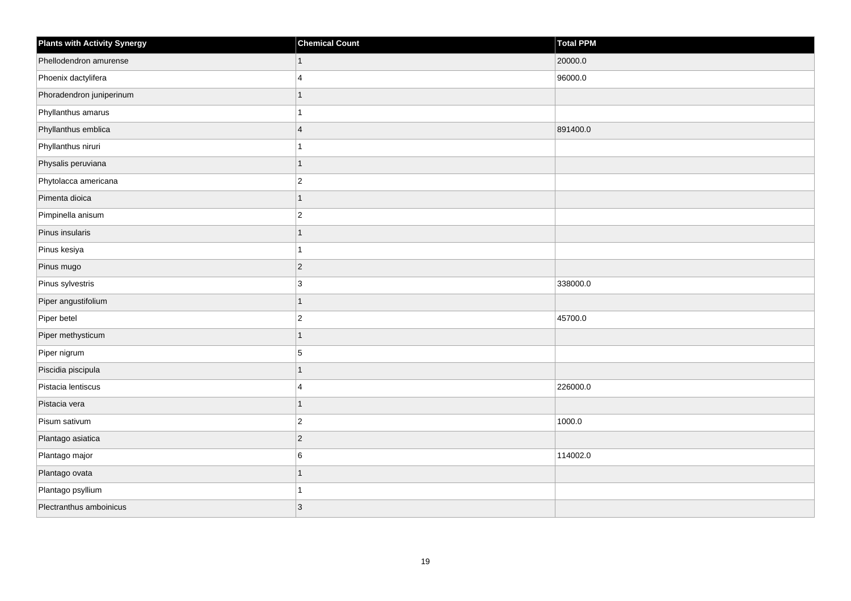| <b>Plants with Activity Synergy</b> | <b>Chemical Count</b> | Total PPM |
|-------------------------------------|-----------------------|-----------|
| Phellodendron amurense              | $\mathbf 1$           | 20000.0   |
| Phoenix dactylifera                 | 4                     | 96000.0   |
| Phoradendron juniperinum            |                       |           |
| Phyllanthus amarus                  |                       |           |
| Phyllanthus emblica                 | $\overline{4}$        | 891400.0  |
| Phyllanthus niruri                  |                       |           |
| Physalis peruviana                  | $\overline{1}$        |           |
| Phytolacca americana                | $\overline{c}$        |           |
| Pimenta dioica                      | 1                     |           |
| Pimpinella anisum                   | $\overline{a}$        |           |
| Pinus insularis                     | 1                     |           |
| Pinus kesiya                        | 1                     |           |
| Pinus mugo                          | $\overline{2}$        |           |
| Pinus sylvestris                    | 3                     | 338000.0  |
| Piper angustifolium                 | 1                     |           |
| Piper betel                         | $\overline{a}$        | 45700.0   |
| Piper methysticum                   | 1                     |           |
| Piper nigrum                        | 5                     |           |
| Piscidia piscipula                  | $\overline{1}$        |           |
| Pistacia lentiscus                  | 4                     | 226000.0  |
| Pistacia vera                       | 1                     |           |
| Pisum sativum                       | $\overline{c}$        | 1000.0    |
| Plantago asiatica                   | $\overline{a}$        |           |
| Plantago major                      | 6                     | 114002.0  |
| Plantago ovata                      | $\overline{1}$        |           |
| Plantago psyllium                   |                       |           |
| Plectranthus amboinicus             | 3                     |           |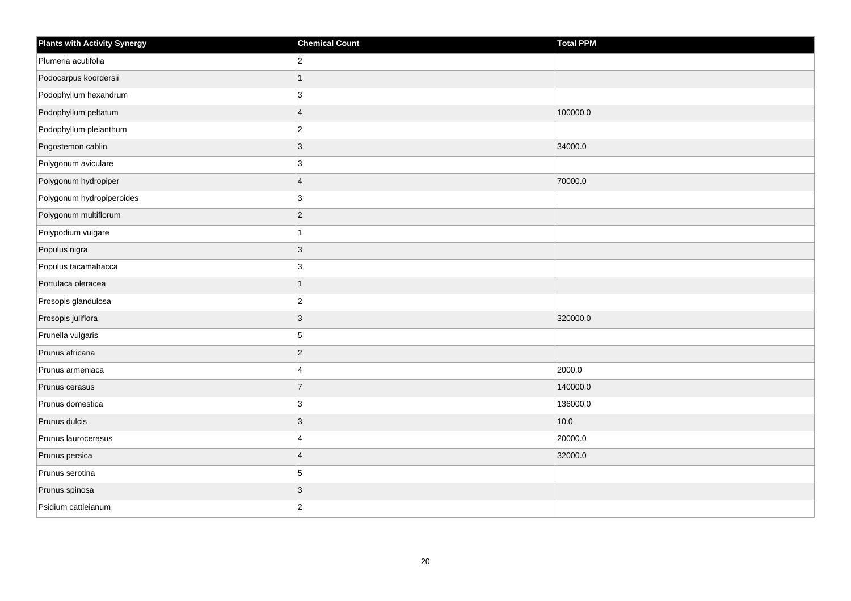| <b>Plants with Activity Synergy</b> | <b>Chemical Count</b>   | <b>Total PPM</b> |
|-------------------------------------|-------------------------|------------------|
| Plumeria acutifolia                 | $\overline{2}$          |                  |
| Podocarpus koordersii               | 1                       |                  |
| Podophyllum hexandrum               | 3                       |                  |
| Podophyllum peltatum                | $\overline{\mathbf{4}}$ | 100000.0         |
| Podophyllum pleianthum              | $\overline{2}$          |                  |
| Pogostemon cablin                   | $\mathbf{3}$            | 34000.0          |
| Polygonum aviculare                 | 3                       |                  |
| Polygonum hydropiper                | $\overline{4}$          | 70000.0          |
| Polygonum hydropiperoides           | 3                       |                  |
| Polygonum multiflorum               | $\overline{c}$          |                  |
| Polypodium vulgare                  | 1                       |                  |
| Populus nigra                       | $\mathbf{3}$            |                  |
| Populus tacamahacca                 | 3                       |                  |
| Portulaca oleracea                  | $\overline{1}$          |                  |
| Prosopis glandulosa                 | $\overline{c}$          |                  |
| Prosopis juliflora                  | $\mathbf{3}$            | 320000.0         |
| Prunella vulgaris                   | 5                       |                  |
| Prunus africana                     | $\overline{c}$          |                  |
| Prunus armeniaca                    | 4                       | 2000.0           |
| Prunus cerasus                      | $\overline{7}$          | 140000.0         |
| Prunus domestica                    | 3                       | 136000.0         |
| Prunus dulcis                       | $\mathfrak{S}$          | 10.0             |
| Prunus laurocerasus                 | 4                       | 20000.0          |
| Prunus persica                      | $\overline{4}$          | 32000.0          |
| Prunus serotina                     | 5                       |                  |
| Prunus spinosa                      | $\mathbf{3}$            |                  |
| Psidium cattleianum                 | $\overline{2}$          |                  |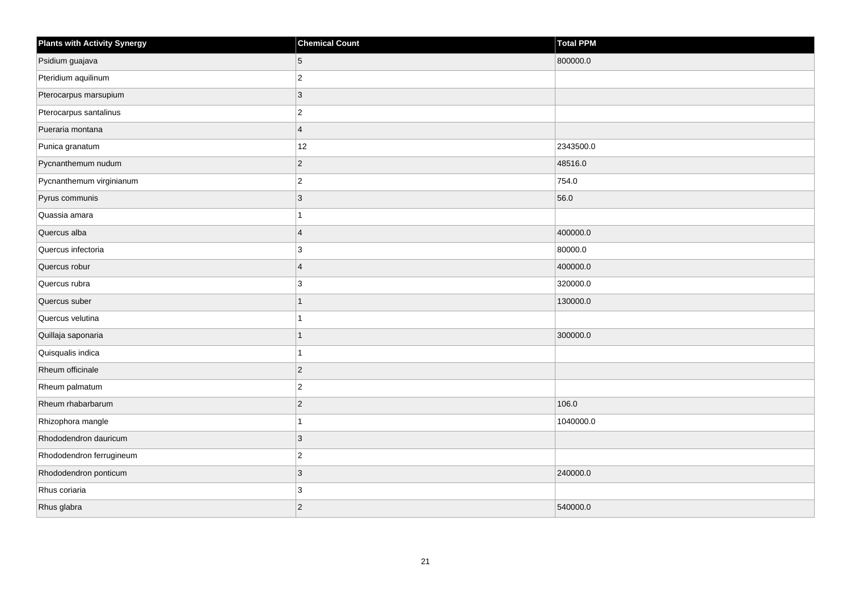| <b>Plants with Activity Synergy</b> | <b>Chemical Count</b> | <b>Total PPM</b> |
|-------------------------------------|-----------------------|------------------|
| Psidium guajava                     | 5                     | 800000.0         |
| Pteridium aquilinum                 | $\overline{2}$        |                  |
| Pterocarpus marsupium               | 3                     |                  |
| Pterocarpus santalinus              | $\overline{2}$        |                  |
| Pueraria montana                    | $\overline{4}$        |                  |
| Punica granatum                     | 12                    | 2343500.0        |
| Pycnanthemum nudum                  | $\overline{2}$        | 48516.0          |
| Pycnanthemum virginianum            | $\overline{2}$        | 754.0            |
| Pyrus communis                      | 3                     | 56.0             |
| Quassia amara                       |                       |                  |
| Quercus alba                        | $\overline{4}$        | 400000.0         |
| Quercus infectoria                  | 3                     | 80000.0          |
| Quercus robur                       | $\overline{4}$        | 400000.0         |
| Quercus rubra                       | 3                     | 320000.0         |
| Quercus suber                       |                       | 130000.0         |
| Quercus velutina                    |                       |                  |
| Quillaja saponaria                  |                       | 300000.0         |
| Quisqualis indica                   |                       |                  |
| Rheum officinale                    | $\overline{2}$        |                  |
| Rheum palmatum                      | $\overline{c}$        |                  |
| Rheum rhabarbarum                   | $\overline{a}$        | 106.0            |
| Rhizophora mangle                   |                       | 1040000.0        |
| Rhododendron dauricum               | 3                     |                  |
| Rhododendron ferrugineum            | $\overline{c}$        |                  |
| Rhododendron ponticum               | 3                     | 240000.0         |
| Rhus coriaria                       | 3                     |                  |
| Rhus glabra                         | $\overline{2}$        | 540000.0         |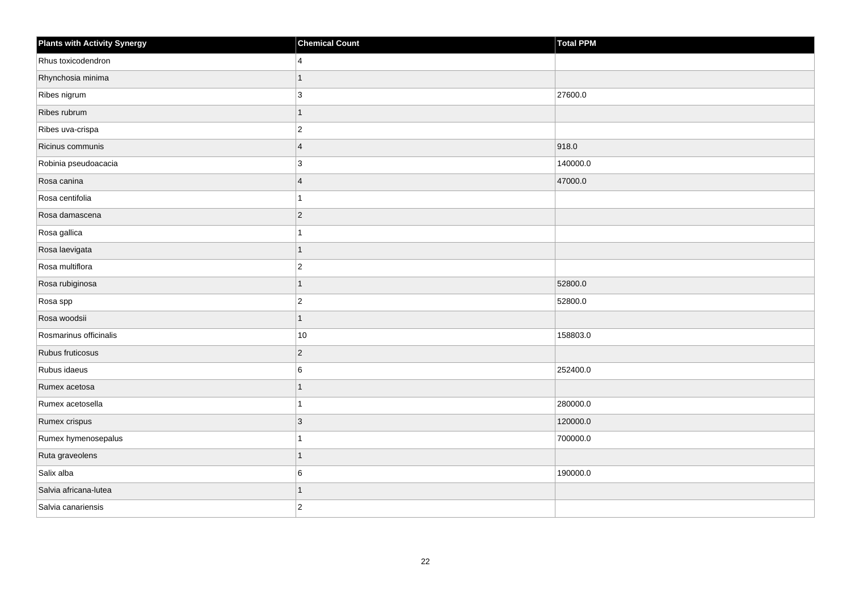| <b>Plants with Activity Synergy</b> | <b>Chemical Count</b> | Total PPM |
|-------------------------------------|-----------------------|-----------|
| Rhus toxicodendron                  | $\overline{4}$        |           |
| Rhynchosia minima                   | 1                     |           |
| Ribes nigrum                        | 3                     | 27600.0   |
| Ribes rubrum                        | $\mathbf{1}$          |           |
| Ribes uva-crispa                    | $ 2\rangle$           |           |
| Ricinus communis                    | $\overline{4}$        | 918.0     |
| Robinia pseudoacacia                | 3                     | 140000.0  |
| Rosa canina                         | $\overline{4}$        | 47000.0   |
| Rosa centifolia                     | $\mathbf{1}$          |           |
| Rosa damascena                      | 2                     |           |
| Rosa gallica                        | 1                     |           |
| Rosa laevigata                      | $\mathbf{1}$          |           |
| Rosa multiflora                     | $\vert$ 2             |           |
| Rosa rubiginosa                     | $\mathbf{1}$          | 52800.0   |
| Rosa spp                            | $ 2\rangle$           | 52800.0   |
| Rosa woodsii                        | $\mathbf{1}$          |           |
| Rosmarinus officinalis              | $10$                  | 158803.0  |
| Rubus fruticosus                    | $ 2\rangle$           |           |
| Rubus idaeus                        | 6                     | 252400.0  |
| Rumex acetosa                       | $\mathbf{1}$          |           |
| Rumex acetosella                    | 1                     | 280000.0  |
| Rumex crispus                       | $ 3\rangle$           | 120000.0  |
| Rumex hymenosepalus                 | 1                     | 700000.0  |
| Ruta graveolens                     | $\mathbf{1}$          |           |
| Salix alba                          | 6                     | 190000.0  |
| Salvia africana-lutea               | 1                     |           |
| Salvia canariensis                  | $\vert$ 2             |           |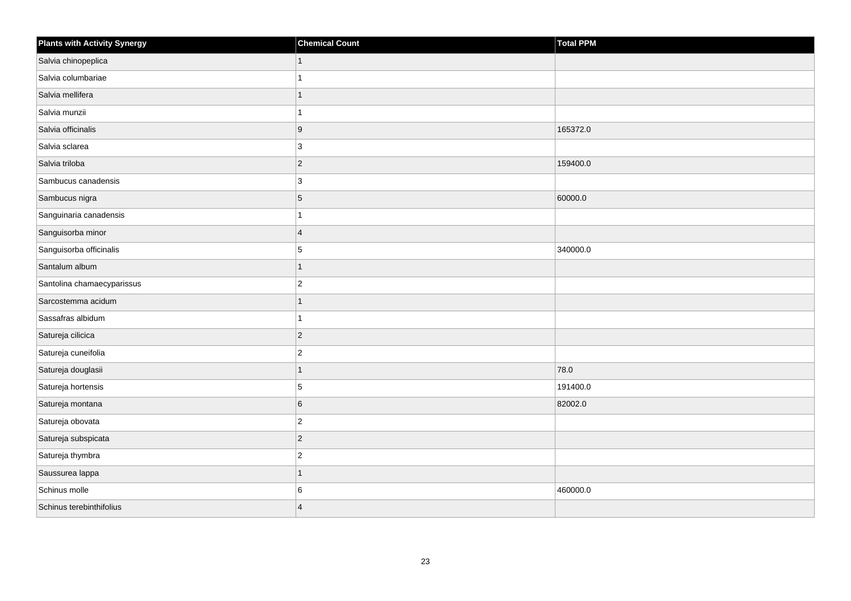| <b>Plants with Activity Synergy</b> | <b>Chemical Count</b>   | <b>Total PPM</b> |
|-------------------------------------|-------------------------|------------------|
| Salvia chinopeplica                 |                         |                  |
| Salvia columbariae                  |                         |                  |
| Salvia mellifera                    |                         |                  |
| Salvia munzii                       |                         |                  |
| Salvia officinalis                  | 9                       | 165372.0         |
| Salvia sclarea                      | 3                       |                  |
| Salvia triloba                      | $\overline{2}$          | 159400.0         |
| Sambucus canadensis                 | 3                       |                  |
| Sambucus nigra                      | 5                       | 60000.0          |
| Sanguinaria canadensis              |                         |                  |
| Sanguisorba minor                   | $\overline{4}$          |                  |
| Sanguisorba officinalis             | 5                       | 340000.0         |
| Santalum album                      | $\overline{1}$          |                  |
| Santolina chamaecyparissus          | $\overline{2}$          |                  |
| Sarcostemma acidum                  |                         |                  |
| Sassafras albidum                   | 1                       |                  |
| Satureja cilicica                   | $\overline{2}$          |                  |
| Satureja cuneifolia                 | $\overline{2}$          |                  |
| Satureja douglasii                  | $\overline{1}$          | 78.0             |
| Satureja hortensis                  | 5                       | 191400.0         |
| Satureja montana                    | 6                       | 82002.0          |
| Satureja obovata                    | $\overline{2}$          |                  |
| Satureja subspicata                 | $\overline{2}$          |                  |
| Satureja thymbra                    | $\overline{2}$          |                  |
| Saussurea lappa                     | 1                       |                  |
| Schinus molle                       | 6                       | 460000.0         |
| Schinus terebinthifolius            | $\overline{\mathbf{A}}$ |                  |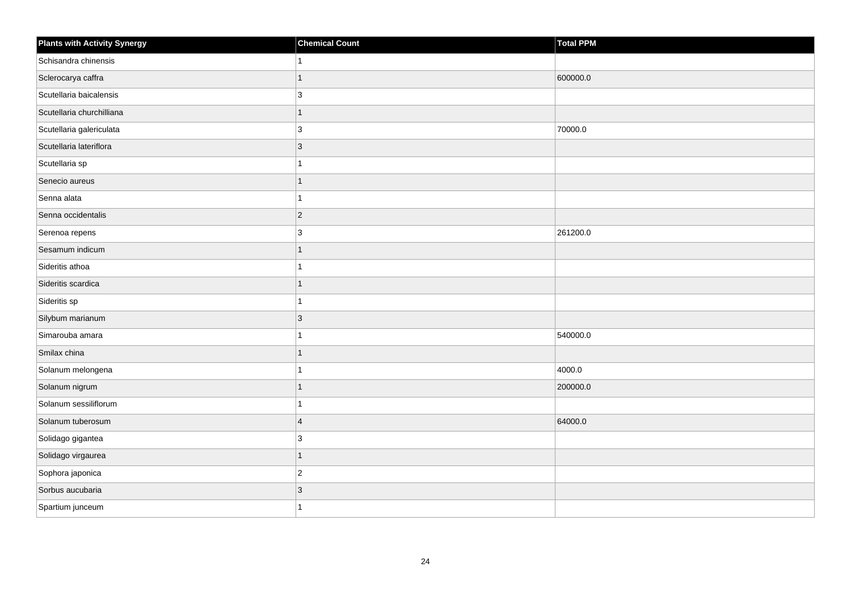| <b>Plants with Activity Synergy</b> | <b>Chemical Count</b> | Total PPM |
|-------------------------------------|-----------------------|-----------|
| Schisandra chinensis                |                       |           |
| Sclerocarya caffra                  |                       | 600000.0  |
| Scutellaria baicalensis             | 3                     |           |
| Scutellaria churchilliana           | 1                     |           |
| Scutellaria galericulata            | 3                     | 70000.0   |
| Scutellaria lateriflora             | $\overline{3}$        |           |
| Scutellaria sp                      |                       |           |
| Senecio aureus                      |                       |           |
| Senna alata                         |                       |           |
| Senna occidentalis                  | $\overline{2}$        |           |
| Serenoa repens                      | 3                     | 261200.0  |
| Sesamum indicum                     |                       |           |
| Sideritis athoa                     |                       |           |
| Sideritis scardica                  | 1                     |           |
| Sideritis sp                        |                       |           |
| Silybum marianum                    | 3                     |           |
| Simarouba amara                     |                       | 540000.0  |
| Smilax china                        |                       |           |
| Solanum melongena                   |                       | 4000.0    |
| Solanum nigrum                      |                       | 200000.0  |
| Solanum sessiliflorum               |                       |           |
| Solanum tuberosum                   | $\overline{4}$        | 64000.0   |
| Solidago gigantea                   | 3                     |           |
| Solidago virgaurea                  | 1                     |           |
| Sophora japonica                    | $\overline{c}$        |           |
| Sorbus aucubaria                    | 3                     |           |
| Spartium junceum                    |                       |           |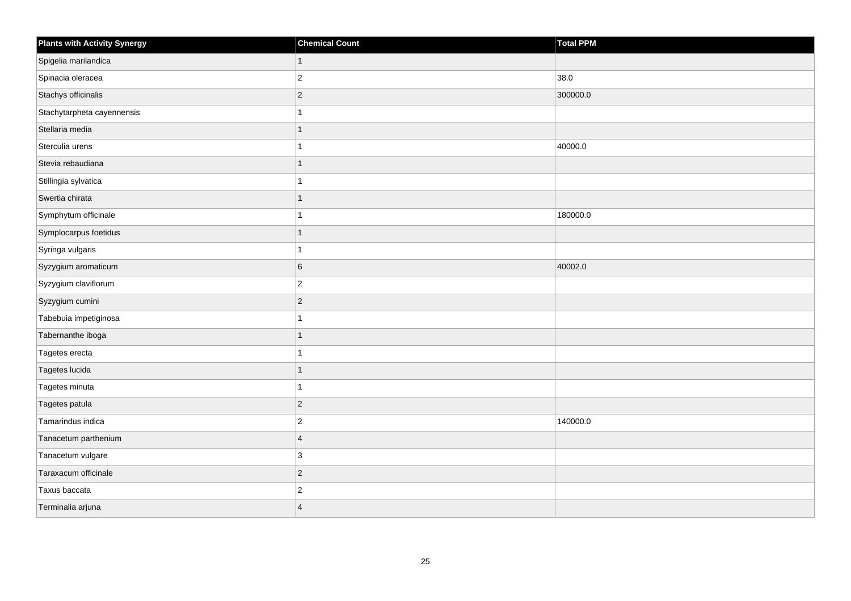| <b>Plants with Activity Synergy</b> | <b>Chemical Count</b>   | <b>Total PPM</b> |
|-------------------------------------|-------------------------|------------------|
| Spigelia marilandica                | 1                       |                  |
| Spinacia oleracea                   | $\overline{2}$          | 38.0             |
| Stachys officinalis                 | $\overline{c}$          | 300000.0         |
| Stachytarpheta cayennensis          |                         |                  |
| Stellaria media                     |                         |                  |
| Sterculia urens                     |                         | 40000.0          |
| Stevia rebaudiana                   | 1                       |                  |
| Stillingia sylvatica                |                         |                  |
| Swertia chirata                     |                         |                  |
| Symphytum officinale                |                         | 180000.0         |
| Symplocarpus foetidus               |                         |                  |
| Syringa vulgaris                    |                         |                  |
| Syzygium aromaticum                 | 6                       | 40002.0          |
| Syzygium claviflorum                | $\overline{2}$          |                  |
| Syzygium cumini                     | $\overline{c}$          |                  |
| Tabebuia impetiginosa               |                         |                  |
| Tabernanthe iboga                   |                         |                  |
| Tagetes erecta                      |                         |                  |
| Tagetes lucida                      | 1                       |                  |
| Tagetes minuta                      |                         |                  |
| Tagetes patula                      | $\overline{c}$          |                  |
| Tamarindus indica                   | $\overline{2}$          | 140000.0         |
| Tanacetum parthenium                | $\overline{\mathbf{4}}$ |                  |
| Tanacetum vulgare                   | $\mathbf{3}$            |                  |
| Taraxacum officinale                | $\overline{2}$          |                  |
| Taxus baccata                       | $\overline{2}$          |                  |
| Terminalia arjuna                   | $\overline{\mathbf{A}}$ |                  |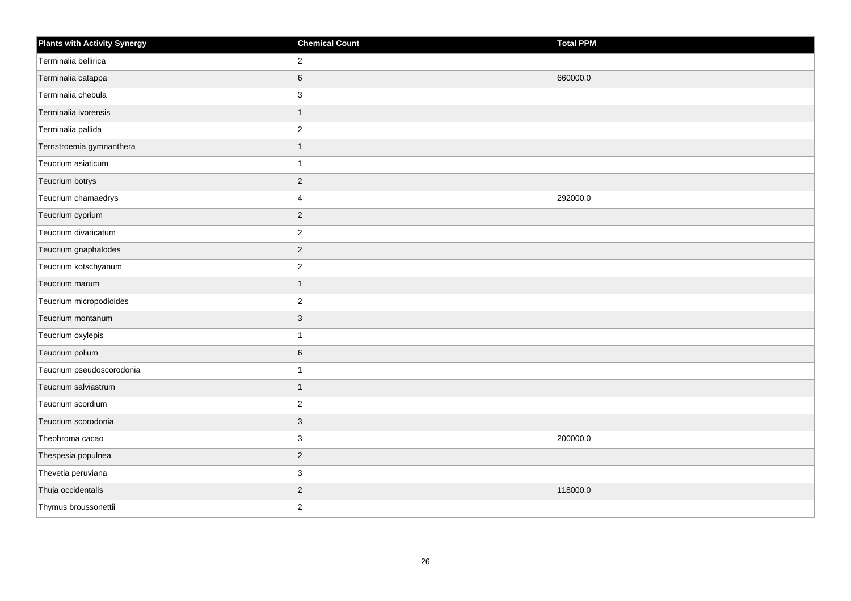| <b>Plants with Activity Synergy</b> | <b>Chemical Count</b> | <b>Total PPM</b> |
|-------------------------------------|-----------------------|------------------|
| Terminalia bellirica                | $\overline{2}$        |                  |
| Terminalia catappa                  | 6                     | 660000.0         |
| Terminalia chebula                  | 3                     |                  |
| Terminalia ivorensis                | $\mathbf{1}$          |                  |
| Terminalia pallida                  | $\overline{c}$        |                  |
| Ternstroemia gymnanthera            | 1                     |                  |
| Teucrium asiaticum                  | 1                     |                  |
| Teucrium botrys                     | $\overline{c}$        |                  |
| Teucrium chamaedrys                 | 4                     | 292000.0         |
| Teucrium cyprium                    | $\overline{c}$        |                  |
| Teucrium divaricatum                | $\overline{2}$        |                  |
| Teucrium gnaphalodes                | $\overline{c}$        |                  |
| Teucrium kotschyanum                | $\overline{c}$        |                  |
| Teucrium marum                      | $\mathbf{1}$          |                  |
| Teucrium micropodioides             | $\overline{c}$        |                  |
| Teucrium montanum                   | $\overline{3}$        |                  |
| Teucrium oxylepis                   | 1                     |                  |
| Teucrium polium                     | 6                     |                  |
| Teucrium pseudoscorodonia           | 1                     |                  |
| Teucrium salviastrum                | $\overline{1}$        |                  |
| Teucrium scordium                   | $\overline{2}$        |                  |
| Teucrium scorodonia                 | 3                     |                  |
| Theobroma cacao                     | 3                     | 200000.0         |
| Thespesia populnea                  | $\overline{2}$        |                  |
| Thevetia peruviana                  | 3                     |                  |
| Thuja occidentalis                  | $\overline{2}$        | 118000.0         |
| Thymus broussonettii                | $\overline{2}$        |                  |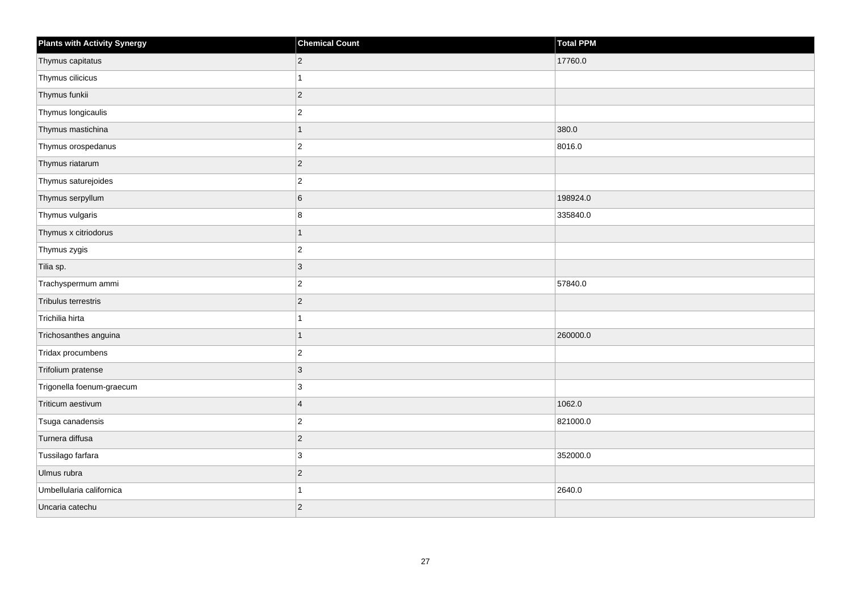| <b>Plants with Activity Synergy</b> | <b>Chemical Count</b> | <b>Total PPM</b> |
|-------------------------------------|-----------------------|------------------|
| Thymus capitatus                    | $\overline{2}$        | 17760.0          |
| Thymus cilicicus                    |                       |                  |
| Thymus funkii                       | $\overline{2}$        |                  |
| Thymus longicaulis                  | $\overline{2}$        |                  |
| Thymus mastichina                   |                       | 380.0            |
| Thymus orospedanus                  | $\overline{2}$        | 8016.0           |
| Thymus riatarum                     | $\overline{2}$        |                  |
| Thymus saturejoides                 | $\overline{c}$        |                  |
| Thymus serpyllum                    | 6                     | 198924.0         |
| Thymus vulgaris                     | 8                     | 335840.0         |
| Thymus x citriodorus                | 1                     |                  |
| Thymus zygis                        | $\overline{c}$        |                  |
| Tilia sp.                           | $\overline{3}$        |                  |
| Trachyspermum ammi                  | $\overline{2}$        | 57840.0          |
| Tribulus terrestris                 | $\overline{2}$        |                  |
| Trichilia hirta                     | 1                     |                  |
| Trichosanthes anguina               | 1                     | 260000.0         |
| Tridax procumbens                   | $\overline{2}$        |                  |
| Trifolium pratense                  | $\overline{3}$        |                  |
| Trigonella foenum-graecum           | 3                     |                  |
| Triticum aestivum                   | $\overline{4}$        | 1062.0           |
| Tsuga canadensis                    | $\overline{2}$        | 821000.0         |
| Turnera diffusa                     | $\overline{2}$        |                  |
| Tussilago farfara                   | 3                     | 352000.0         |
| Ulmus rubra                         | $\overline{c}$        |                  |
| Umbellularia californica            |                       | 2640.0           |
| Uncaria catechu                     | $\overline{2}$        |                  |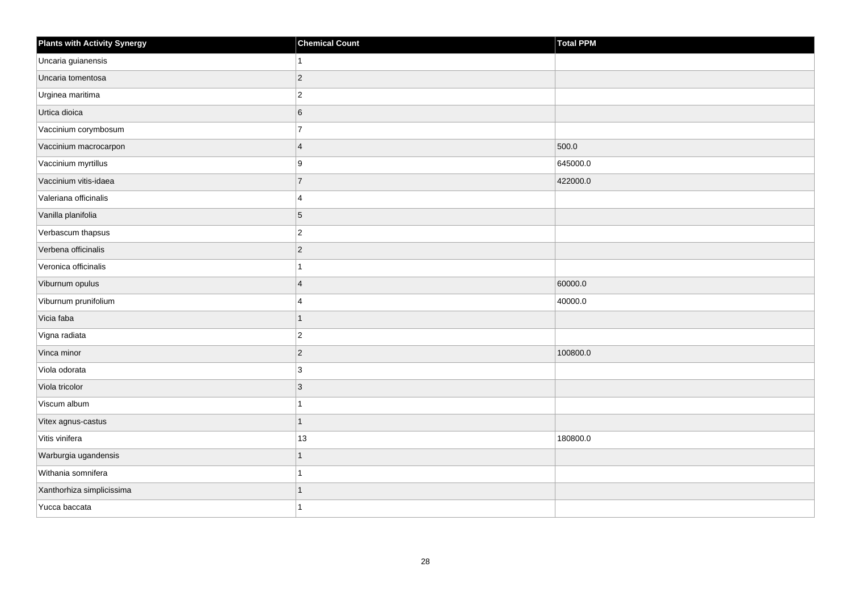| <b>Plants with Activity Synergy</b> | <b>Chemical Count</b> | Total PPM |
|-------------------------------------|-----------------------|-----------|
| Uncaria guianensis                  |                       |           |
| Uncaria tomentosa                   | $\overline{2}$        |           |
| Urginea maritima                    | $\overline{c}$        |           |
| Urtica dioica                       | $6\phantom{a}$        |           |
| Vaccinium corymbosum                | $\overline{7}$        |           |
| Vaccinium macrocarpon               | $\overline{4}$        | 500.0     |
| Vaccinium myrtillus                 | 9                     | 645000.0  |
| Vaccinium vitis-idaea               | $\overline{7}$        | 422000.0  |
| Valeriana officinalis               | 4                     |           |
| Vanilla planifolia                  | 5                     |           |
| Verbascum thapsus                   | $\overline{2}$        |           |
| Verbena officinalis                 | $\overline{2}$        |           |
| Veronica officinalis                | 1                     |           |
| Viburnum opulus                     | $\overline{4}$        | 60000.0   |
| Viburnum prunifolium                | $\Delta$              | 40000.0   |
| Vicia faba                          | 1                     |           |
| Vigna radiata                       | $\overline{c}$        |           |
| Vinca minor                         | $\overline{2}$        | 100800.0  |
| Viola odorata                       | 3                     |           |
| Viola tricolor                      | 3                     |           |
| Viscum album                        |                       |           |
| Vitex agnus-castus                  | 1                     |           |
| Vitis vinifera                      | 13                    | 180800.0  |
| Warburgia ugandensis                |                       |           |
| Withania somnifera                  |                       |           |
| Xanthorhiza simplicissima           |                       |           |
| Yucca baccata                       |                       |           |